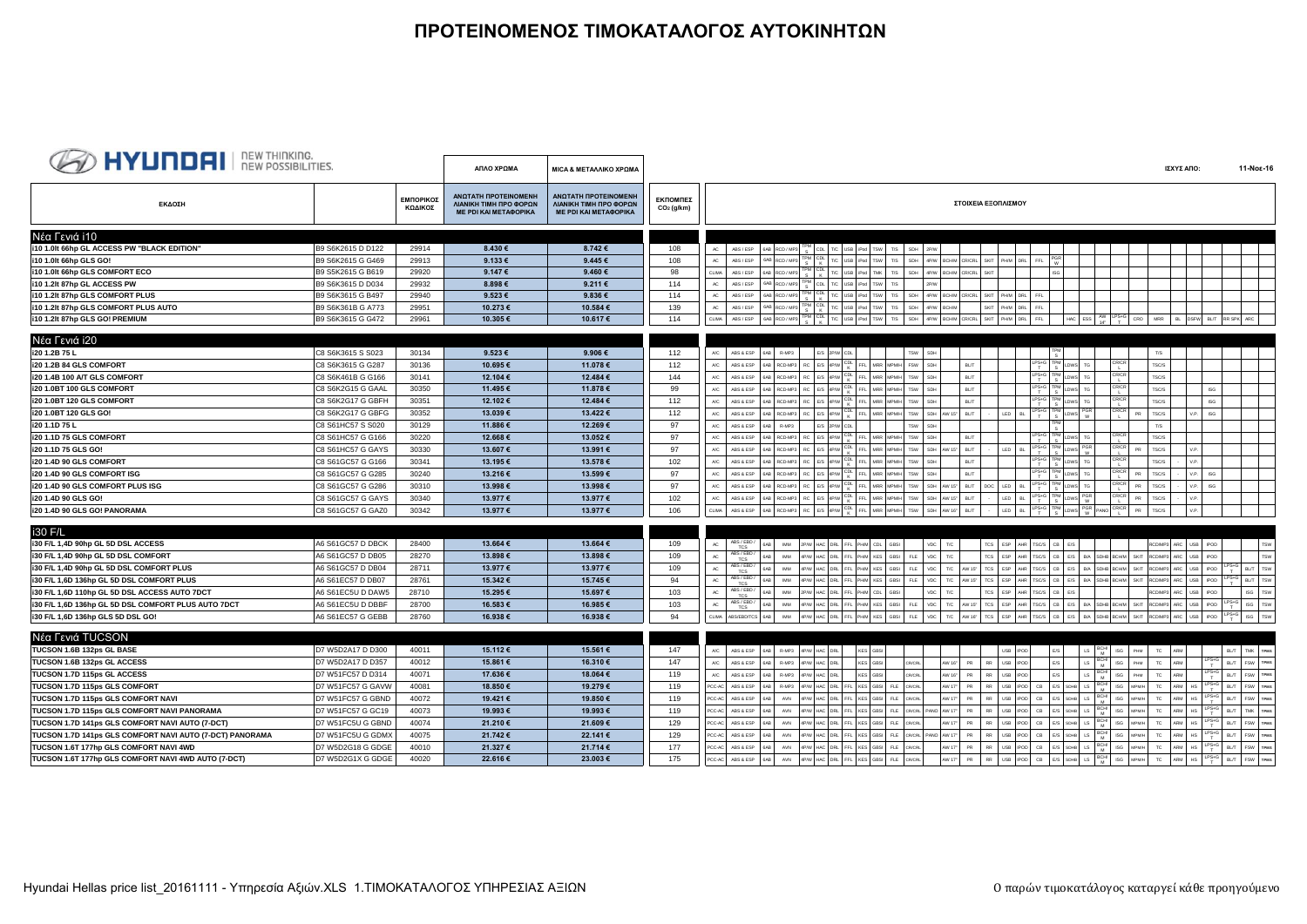## **ΠΡΟΤΕΙΝΟΜΕΝΟΣ ΤΙΜΟΚΑΤΑΛΟΓΟΣ ΑΥΤΟΚΙΝΗΤΩΝ**

| <b>BED HYUNDAI</b> I REW THINKING.                       |                   |                      | ΑΠΛΟ ΧΡΩΜΑ                                                                     | ΜΙΟΑ & ΜΕΤΑΛΛΙΚΟ ΧΡΩΜΑ                                                         |                                    | 11-Noε-16<br>ΙΣΧΥΣ ΑΠΟ:                                                                                                                                                                                                                                                                                                              |     |
|----------------------------------------------------------|-------------------|----------------------|--------------------------------------------------------------------------------|--------------------------------------------------------------------------------|------------------------------------|--------------------------------------------------------------------------------------------------------------------------------------------------------------------------------------------------------------------------------------------------------------------------------------------------------------------------------------|-----|
| ΕΚΔΟΣΗ                                                   |                   | ΕΜΠΟΡΙΚΟΣ<br>ΚΩΔΙΚΟΣ | ΑΝΩΤΑΤΗ ΠΡΟΤΕΙΝΟΜΕΝΗ<br>ΛΙΑΝΙΚΗ ΤΙΜΗ ΠΡΟ ΦΟΡΩΝ<br><b>ME PDI KAI METAΦOPIKA</b> | ΑΝΩΤΑΤΗ ΠΡΟΤΕΙΝΟΜΕΝΗ<br>ΛΙΑΝΙΚΗ ΤΙΜΗ ΠΡΟ ΦΟΡΩΝ<br><b>ME PDI KAI METAΦOPIKA</b> | ΕΚΠΟΜΠΕΣ<br>CO <sub>2</sub> (g/km) | ΣΤΟΙΧΕΙΑ ΕΞΟΠΛΙΣΜΟΥ                                                                                                                                                                                                                                                                                                                  |     |
| Νέα Γενιά i10                                            |                   |                      |                                                                                |                                                                                |                                    |                                                                                                                                                                                                                                                                                                                                      |     |
| i10 1.0lt 66hp GL ACCESS PW "BLACK EDITION"              | B9 S6K2615 D D122 | 29914                | 8.430€                                                                         | 8.742€                                                                         | 108                                | 6AB RCD / MP3 TPM CDL T/C USB Pod TSW<br>$AC$ $ABS / ESP$<br>SDH  <br>T/S<br>2P/W                                                                                                                                                                                                                                                    |     |
| i10 1.0lt 66hp GLS GO!                                   | B9 S6K2615 G G469 | 29913                | $9.133 \in$                                                                    | 9.445€                                                                         | 108                                | 6AB RCD / MP3 TPM CDL T/C USB Pod<br>4P/W BCHM CR/CRL SKIT PHM DRL FFL<br>$\mathbb{A}\mathbb{C}$<br>ABS / ESP<br>TSW <sup>1</sup><br>T/S<br>SDH                                                                                                                                                                                      |     |
| i10 1.0lt 66hp GLS COMFORT ECO                           | B9 S5K2615 G B619 | 29920                | 9.147 €                                                                        | 9.460 $\epsilon$                                                               | 98                                 | 6AB RCD/MP3 TPM CDL T/C USB Pod TMK T/S<br>SDH 4P/W BCH/M CR/CRL<br>SKIT<br>CLIMA ABS / ESP                                                                                                                                                                                                                                          |     |
| i10 1.2lt 87hp GL ACCESS PW                              | B9 S6K3615 D D034 | 29932                | 8.898€                                                                         | 9.211€                                                                         | 114                                | ABS/ESP 6AB RCD/MP3 TPM CDL T/C USB Pod TSW T/S<br>AC<br>2P/V                                                                                                                                                                                                                                                                        |     |
| i10 1.2lt 87hp GLS COMFORT PLUS                          | B9 S6K3615 G B497 | 29940                | 9.523€                                                                         | 9.836€                                                                         | 114                                | SDH 4P/W BCH/M CR/CRL SKIT PH/M DRL FFL<br>6AB RCD / MP3<br>AC<br>ABS / ESP                                                                                                                                                                                                                                                          |     |
| i10 1.2lt 87hp GLS COMFORT PLUS AUTO                     | B9 S6K361B G A773 | 29951                | 10.273€                                                                        | 10.584 €                                                                       | 139                                | 6AB RCD/MP3 TPM CDL T/C USB iPod TSW T/S<br>SKIT PHM DRL FFL<br>SDH<br>$AC$<br>ABS / ESP<br>4P/W BCH/M                                                                                                                                                                                                                               |     |
| i10 1.2lt 87hp GLS GO! PREMIUM                           | B9 S6K3615 G G472 | 29961                | 10.305€                                                                        | 10.617€                                                                        | 114                                | 648 RCD/MP3 TPM CDL TC USB Pod TSW TS SDH 4PW BCHM CRCRL SKIT PHM DRL FFL<br>HAC ESS $\begin{bmatrix} AV & LPS+G \\ 14 & T \end{bmatrix}$ CRO MRR BL DSFW BLT RRSPK ARC<br>$CLIMA$ $ABS / ESP$                                                                                                                                       |     |
|                                                          |                   |                      |                                                                                |                                                                                |                                    |                                                                                                                                                                                                                                                                                                                                      |     |
| Νέα Γενιά i20                                            |                   |                      |                                                                                |                                                                                |                                    |                                                                                                                                                                                                                                                                                                                                      |     |
| i20 1.2B 75 L                                            | C8 S6K3615 S S023 | 30134                | $9.523 \in$                                                                    | $9.906 \in$                                                                    | 112                                | E/S 2P/W CDL<br>TSW SDH<br>T/S<br>$\mathsf{A}\mathsf{C}$<br>ABS & ESP<br>R-MP3                                                                                                                                                                                                                                                       |     |
| i20 1.2B 84 GLS COMFORT                                  | C8 S6K3615 G G287 | 30136                | 10.695€                                                                        | 11.078€                                                                        | 112                                | RC E/S 4P/W CDL FFL MRR MPMH FSW SDH<br>$LPS+G$<br>TPM<br>CR/CR<br>BL/T<br>TSC/S<br>RCD-MP3<br>TG<br>A/C<br>ABS & ESP                                                                                                                                                                                                                |     |
| i20 1.4B 100 A/T GLS COMFORT                             | C8 S6K461B G G166 | 30141                | 12.104€                                                                        | 12.484 €                                                                       | 144                                | $LPS+G$ TPM<br>T S<br>CR/CR<br>RC E/S 4P/W CDL FFL MRR MPMH<br>LDWS TG<br>TSW SDH<br>BL/T<br>$\mathsf{A}\mathsf{IC}$<br>RCD-MP3<br>TSC/S<br>ABS & ESP                                                                                                                                                                                |     |
| i20 1.0BT 100 GLS COMFORT                                | C8 S6K2G15 G GAAL | 30350                | 11.495€                                                                        | 11.878 €                                                                       | 99                                 | $LPS + G$<br>CR/CR<br>RC E/S 4P/W CDL FFL MRR MPMH TSW SDH<br>TPM<br><b>BL/T</b><br>LDWS TG<br>TSC/S<br><b>ISG</b><br>A/C<br>ABS & ESP<br>648 RCD-MP3                                                                                                                                                                                |     |
| i20 1.0BT 120 GLS COMFORT                                | C8 S6K2G17 G GBFH | 30351                | 12.102€                                                                        | 12.484 €                                                                       | 112                                | $LPS + G$<br>CR/CR<br>RC E/S 4P/W CDL<br>TPM<br>FFL MRR MPMH<br>TSW  <br>SDH<br>BL/T<br>TG<br>TSC/S<br><b>ISG</b><br>A/C<br>ABS & ESP<br>RCD-MP3<br><b>DWS</b>                                                                                                                                                                       |     |
| i20 1.0BT 120 GLS GO!                                    | C8 S6K2G17 G GBFG | 30352                | 13.039€                                                                        | 13.422€                                                                        | 112                                | $LPS+G$<br>LDWS PGR<br>RC E/S 4P/W CDL FFL MRR MPMH<br>CR/CR<br>$V.P.$ ISG<br>TSW SDH AW 15" BL/T<br>LED<br>BL.<br>TSC/S<br>$\mathsf{A}\mathsf{IC}$<br>ABS & ESP<br>6AB RCD-MP3<br>PR                                                                                                                                                |     |
| i20 1.1D 75 L                                            | C8 S61HC57 S S020 | 30129                | 11.886€                                                                        | 12.269€                                                                        | 97                                 | E/S 2P/W CDL<br>TSW  <br>$\mathsf{A}\mathsf{IC}$<br>ABS & ESP<br>R-MP3<br>SDH<br>T/S                                                                                                                                                                                                                                                 |     |
| i20 1.1D 75 GLS COMFORT                                  | C8 S61HC57 G G166 | 30220                | 12.668€                                                                        | 13.052€                                                                        | 97                                 | 648 RCD-MP3 RC E/S 4P/W CDL FFL MRR MPMH TSW SDH<br>$LPS+G$<br>CR/CR<br>LDWS TG<br>TSC/S<br>$\mathsf{A}\mathsf{IC}$<br>ABS & ESP<br>BL/T                                                                                                                                                                                             |     |
| i20 1.1D 75 GLS GO!                                      | C8 S61HC57 G GAYS | 30330                | 13.607€                                                                        | 13.991€                                                                        | 97                                 | WS PGR<br>$LPS+G$<br>CR/CR<br>I<br>6AB RCD-MP3 RC E/S 4P/W CDL<br>FFL MRR MPMH TSW SDH AW 15" BL/T<br>LED BL<br>TSC/S<br>V.P.<br>$\mathsf{A}\mathsf{IC}$<br>ABS & ESP<br>PR                                                                                                                                                          |     |
| i20 1.4D 90 GLS COMFORT                                  | C8 S61GC57 G G166 | 30341                | 13.195€                                                                        | 13.578€                                                                        | 102                                | $LPS+G$<br>CR/CR<br>RCD-MP3 RC E/S 4P/W CDL<br>FFL MRR MPMH TSW<br><b>BL/T</b><br>DWS TG<br>V.P.<br>SDH<br><b>TSC/S</b><br><b>A/C</b><br>ABS & ESP                                                                                                                                                                                   |     |
| i20 1.4D 90 GLS COMFORT ISG                              | C8 S61GC57 G G285 | 30240                | 13.216€                                                                        | 13.599€                                                                        | 97                                 | $LPS+C$<br>6AB RCD-MP3 RC E/S 4P/W CDL<br>CR/CR<br>FFL MRR MPMH TSW<br>$V.P.$ ISG<br>$\mathsf{A}\mathsf{IC}$<br>SDH<br><b>BL/T</b><br>TG<br>TSC/S<br>ABS & ESP<br>PR                                                                                                                                                                 |     |
| i20 1.4D 90 GLS COMFORT PLUS ISG                         | C8 S61GC57 G G286 | 30310                | 13.998€                                                                        | 13.998€                                                                        | 97                                 | $LPS+C$<br>CR/CR<br>$RC$ E/S $4P/W$ $_{K}^{CDL}$<br>$V.P.$ ISG<br>FFL MRR MPMH<br>TSW<br>SDH AW 15" BL/T<br>DOC  <br>LED<br>TSC/S<br><b>A/C</b><br>ABS & ESP<br>6AB RCD-MP3                                                                                                                                                          |     |
| i20 1.4D 90 GLS GO!                                      | C8 S61GC57 G GAYS | 30340                | 13.977€                                                                        | 13.977 €                                                                       | 102                                | RC E/S 4P/W CDL FFL MRR MPMH<br>$LPS+C$<br>W<br>CR/CR<br>TSW<br>SDH AW 15" BL/T<br>LED<br>PR<br>TSC/S<br>V.P.<br>$\mathsf{A}\mathsf{IC}$<br>ABS & ESP<br>6AB RCD-MP3                                                                                                                                                                 |     |
| i20 1.4D 90 GLS GO! PANORAMA                             | C8 S61GC57 G GAZ0 | 30342                | 13.977€                                                                        | 13.977 €                                                                       | 106                                | $LPS+G$<br>RC E/S 4P/W CDL FFL MRR MPMH<br><b>TPM</b><br>PGR PANO<br>CR/CR<br>CLIMA ABS & ESP<br>TSW<br>SDH AW 16" BL/T<br>LED BL<br>$_{\mathsf{PR}}$<br>6AB RCD-MP3<br>TSC/S<br>V.P.                                                                                                                                                |     |
|                                                          |                   |                      |                                                                                |                                                                                |                                    |                                                                                                                                                                                                                                                                                                                                      |     |
| i30 F/L                                                  |                   |                      |                                                                                |                                                                                |                                    |                                                                                                                                                                                                                                                                                                                                      |     |
| i30 F/L 1,4D 90hp GL 5D DSL ACCESS                       | A6 S61GC57 D DBCK | 28400                | 13.664€                                                                        | 13.664€                                                                        | 109                                | ABS / EBD /<br>TCS<br>P/W HAC DRL FFL PHM CDL GBSI<br>TCS ESP AHR TSC/S CB E/S<br>RCD/MP3 ARC USB IPOD<br>AC<br><b>IMM</b><br>VDC T/C                                                                                                                                                                                                |     |
| i30 F/L 1,4D 90hp GL 5D DSL COMFORT                      | A6 S61GC57 D DB05 | 28270                | 13.898€                                                                        | 13.898€                                                                        | 109                                | ABS / EBD<br>$\mathsf{AC}$<br>PH/M KES GBSI<br>$VDC$ T/C<br>TCS<br>ESP AHR TSC/S<br>CB<br>E/S B/A SDHB BCH/M SKIT<br>RCD/MP3 ARC USB IPOD<br><b>IMM</b><br>FLE                                                                                                                                                                       | TSW |
| i30 F/L 1,4D 90hp GL 5D DSL COMFORT PLUS                 | A6 S61GC57 D DB04 | 28711                | 13.977€                                                                        | 13.977€                                                                        | 109                                | ABS / EBD /<br>$\frac{\text{LPS} + \text{G}}{\text{T}}$ BL/T TSW<br>$\mathsf{AC}$<br>FLE<br>VDC  <br>T/C AW 15"<br>TCS<br>ESP<br>AHR TSC/S<br>CB<br>$\mathsf{E}/\mathsf{S}$<br>B/A SDHB BCH/M<br>SKIT<br>RCD/MP3 ARC<br>USB IPOD<br><b>KES</b><br>GBSI<br>TCS.                                                                       |     |
| i30 F/L 1,6D 136hp GL 5D DSL COMFORT PLUS                | A6 S61EC57 D DB07 | 28761                | 15.342€                                                                        | 15.745€                                                                        | 94                                 | ABS / EBD /<br>$\frac{\text{LPS} + \text{G}}{\text{T}}$ BL/T TSW<br>$\mathsf{AC}$<br>PHM KES GBSI<br>FLE<br>VDC<br>T/C AW 15"<br>TCS ESP AHR TSC/S<br>$_{\rm CB}$<br>E/S B/A SDHB BCH/M SKIT RCD/MP3 ARC USB POD<br><b>IMM</b><br>P/W HAC DRL FFL<br><b>TCS</b>                                                                      |     |
| i30 F/L 1,6D 110hp GL 5D DSL ACCESS AUTO 7DCT            | A6 S61EC5U D DAW5 | 28710                | 15.295€                                                                        | 15.697€                                                                        | 103                                | ABS / EBD /<br>P/W HAC DRL FFL PHM<br>T/C<br>TCS ESP AHR TSC/S<br>CB<br>ISG TSW<br>$\mathbb{A}\mathbb{C}$<br>CDL<br>vnc.<br>F/S<br>RCDMP3 ARC<br>USB IPOD<br><b>IMM</b><br>GBSI<br><b>TCS</b>                                                                                                                                        |     |
| i30 F/L 1,6D 136hp GL 5D DSL COMFORT PLUS AUTO 7DCT      | A6 S61EC5U D DBBF | 28700                | 16.583€                                                                        | 16.985€                                                                        | 103                                | ABS / EBD<br>TCS ESP AHR TSCS CB E/S B/A SDHB BCH/M SKIT RCD/MP3 ARC USB POD LPS+G ISG TSW<br>4P/W HAC DRL FFL PHW KES GBSI FLE<br>VDC T/C AW 15"<br>AC<br><b>IMM</b><br><b>TCS</b>                                                                                                                                                  |     |
| i30 F/L 1,6D 136hp GLS 5D DSL GO!                        | A6 S61EC57 G GEBB | 28760                | 16.938€                                                                        | 16.938€                                                                        | 94                                 | 4PW HAC DRL FFL PHM KES GBSI FLE VDC TC AW16" TCS ESP AHR TSCS CB ES BA SDHB BCHM SKIT RCDMP3 ARC USB IPOD LPS ISG TSW<br>CLIMA ABS/EBD/TCS 6AB<br><b>IMM</b>                                                                                                                                                                        |     |
|                                                          |                   |                      |                                                                                |                                                                                |                                    |                                                                                                                                                                                                                                                                                                                                      |     |
| Νέα Γενιά TUCSON                                         |                   |                      |                                                                                |                                                                                |                                    |                                                                                                                                                                                                                                                                                                                                      |     |
| TUCSON 1.6B 132ps GL BASE                                | D7 W5D2A17 D D300 | 40011                | 15.112€                                                                        | 15.561€                                                                        | 147                                | 4P/W HAC DRL<br>BL/T TMK TPMS<br>$\mathsf{A}\mathsf{C}$ . ABS & ESP<br>R-MP3<br>KES GBSI<br>USB IPOD<br>F/S<br>LS.<br><b>ISG</b><br>PHM<br>TC ARM                                                                                                                                                                                    |     |
| TUCSON 1.6B 132ps GL ACCESS                              | D7 W5D2A17 D D357 | 40012                | 15.861€                                                                        | 16.310 €                                                                       | 147                                | $LS$ $BCHV$<br>$LPS+G$<br>KES GBSI<br>USB IPOD<br>PHM<br>BL/T FSW TPMS<br>4P/W HAC DRL<br>CR/CRL<br>AW 16" PR<br>RR<br><b>ISG</b><br>TC<br>ARM<br>$\mathsf{A}\mathsf{IC}$<br>ABS & ESP<br>R-MP3                                                                                                                                      |     |
| TUCSON 1.7D 115ps GL ACCESS                              | D7 W51FC57 D D314 | 40071                | 17.636€                                                                        | 18.064 €                                                                       | 119                                | $LS$ $BCHV$<br>$LPS + G$<br>USB IPOD<br>PHM<br>ARM<br>4P/W HAC DRL<br>KES GBSI<br>CR/CRL<br>AW 16" PR<br><b>RR</b><br>$\mathsf{E}/\mathsf{S}$<br><b>ISG</b><br>TC<br>BL/T FSW TPMS<br>A/C<br>ABS & ESP<br>R-MP3                                                                                                                      |     |
| TUCSON 1.7D 115ps GLS COMFORT                            | D7 W51FC57 G GAVW | 40081                | 18.850€                                                                        | 19.279€                                                                        | 119                                | $E/S$ SDHB LS $\frac{BCW}{M}$<br>$LPS+G$<br>4P/W HAC DRL FFL KES GBSI FLE<br>CR/CRL<br>AW 17" PR<br>RR<br>USB IPOD CB<br><b>ISG</b><br>MPMH<br>TC<br>ARM HS<br>BL/T FSW TPMS<br>$PCC-AC$ $ABS & ESP$<br>R-MP3                                                                                                                        |     |
| TUCSON 1.7D 115ps GLS COMFORT NAVI                       | D7 W51FC57 G GBND | 40072                | 19.421€                                                                        | 19.850€                                                                        | 119                                | $ARM$ HS $LPS + G$<br>SDHB LS BCH<br><b>RR</b><br>USB IPOD CB<br>E/S<br>PCC-AC ABS & ESP<br>4P/W HAC DRL FFL KES GBSI<br>FLE<br>CR/CRL<br>AW 17" PR<br><b>ISG</b><br>MPMH<br>TC<br>BL/T FSW TPMS<br>AVN                                                                                                                              |     |
| TUCSON 1.7D 115ps GLS COMFORT NAVI PANORAMA              | D7 W51FC57 G GC19 | 40073                | 19.993€                                                                        | 19.993€                                                                        | 119                                | SDHB LS BCH/<br>$LPS+G$<br>USB IPOD CB<br>4P/W HAC DRL FFL KES GBSI FLE<br>CR/CRL PANO AW 17" PR<br><b>RR</b><br>E/S<br><b>ISG</b><br><b>MPMH</b><br>TC<br>ARM HS<br>BL/T TMK TPMS<br>PCC-AC<br>ABS & ESP<br>AVN<br>6AB                                                                                                              |     |
| TUCSON 1.7D 141ps GLS COMFORT NAVI AUTO (7-DCT)          | D7 W51FC5U G GBND | 40074                | 21.210€                                                                        | 21.609€                                                                        | 129                                | $ARM$ HS $\frac{LPS+G}{T}$<br>SDHB LS BCH/<br>RR<br>USB IPOD CB<br>TC<br>AW 17" PR<br><b>ISG</b><br><b>BL/T</b><br>FSW TPMS<br>$PCC-AC$ $ABS & ESP$<br>AVN<br>4P/W HAC DRL FFL KES GBSI FLE<br><b>CR/CRL</b><br>E/S<br>MPMH<br>6AB                                                                                                   |     |
| TUCSON 1.7D 141ps GLS COMFORT NAVI AUTO (7-DCT) PANORAMA | D7 W51FC5U G GDMX | 40075                | 21.742€                                                                        | 22.141€                                                                        | 129                                | $LPS+G$<br>E/S SDHB LS $\frac{BCH}{M}$<br>$\begin{tabular}{lllll} \bf \textcolor{red}{\textbf{USB}} & \color{red}{\textbf{IPOD}} & \color{red}{\textbf{CB}} \\ \end{tabular}$<br>P/W HAC DRL FFL KES GBSI FLE CRICRL PANO AW 17 PR<br><b>RR</b><br><b>ISG</b><br>TC<br>ARM HS<br>BL/T FSW TPMS<br>MPMH<br>PCC-AC<br>ABS & ESP<br>AVN |     |
| TUCSON 1.6T 177hp GLS COMFORT NAVI 4WD                   | D7 W5D2G18 G GDGE | 40010                | 21.327€                                                                        | 21.714€                                                                        | 177                                | $ARM$ HS $\frac{LPS+G}{T}$<br>$E/S$ SDHB LS $\frac{BCW}{M}$<br>AW 17" PR<br><b>RR</b><br>USB IPOD CB<br><b>ISG</b><br>TC<br>BL/T FSW TPMS<br>PCC-AC<br>4P/W HAC DRL FFL KES GBSI FLE CR/CRL<br>MPMH<br>ABS & ESP<br>AVN                                                                                                              |     |
| TUCSON 1.6T 177hp GLS COMFORT NAVI 4WD AUTO (7-DCT)      | D7 W5D2G1X G GDGE | 40020                | 22.616€                                                                        | 23.003€                                                                        | 175                                | $E/S$ SDHB LS $\begin{bmatrix} BCH \\ M \end{bmatrix}$<br>$LPS+G$<br>P/W HAC DRL FFL KES GBSI FLE CRCRL<br>AW 17" PR<br><b>RR</b><br>USB IPOD CB<br>ISG MPMH<br>TC<br>ARM HS<br><b>BL/T</b><br>PCC-AC<br>ABS & ESP<br>AVN<br>FSW TPMS                                                                                                |     |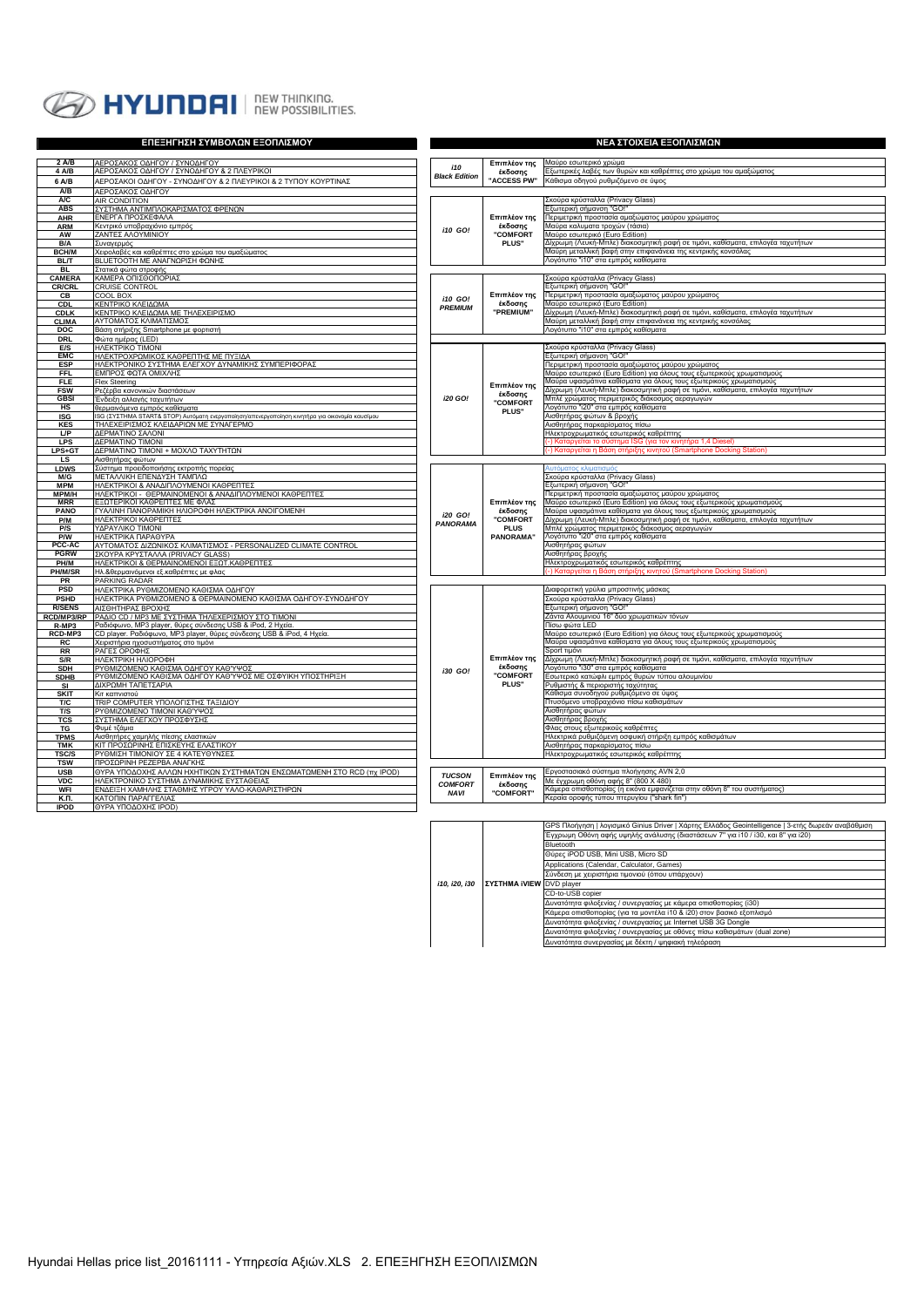

|                           | ΕΠΕΞΗΓΗΣΗ ΣΥΜΒΟΛΩΝ ΕΞΟΠΛΙΣΜΟΥ                                                                                   | ΝΕΑ ΣΤΟΙΧΕΙΑ ΕΞΟΠΛΙΣΜΩΝ   |                                            |                                                                                                                                              |  |
|---------------------------|-----------------------------------------------------------------------------------------------------------------|---------------------------|--------------------------------------------|----------------------------------------------------------------------------------------------------------------------------------------------|--|
| 2 A/B                     | ΑΕΡΟΣΑΚΟΣ ΟΔΗΓΟΥ / ΣΥΝΟΔΗΓΟΥ                                                                                    |                           |                                            | Μαύρο εσωτερικό χρώμα                                                                                                                        |  |
| 4 A/B                     | ΑΕΡΟΣΑΚΟΣ ΟΔΗΓΟΥ / ΣΥΝΟΔΗΓΟΥ & 2 ΠΛΕΥΡΙΚΟΙ                                                                      | i10                       | Επιπλέον της<br>έκδοσης                    | Ξξωτερικές λαβές των θυρών και καθρέπτες στο χρώμα του αμαξώματος                                                                            |  |
| 6 A/B                     | ΑΕΡΟΣΑΚΟΙ ΟΔΗΓΟΥ - ΣΥΝΟΔΗΓΟΥ & 2 ΠΛΕΥΡΙΚΟΙ & 2 ΤΥΠΟΥ ΚΟΥΡΤΙΝΑΣ                                                  | <b>Black Edition</b>      | "ACCESS PW"                                | Κάθισμα οδηγού ρυθμιζόμενο σε ύψος                                                                                                           |  |
| A/B                       | ΑΕΡΟΣΑΚΟΣ ΟΔΗΓΟΥ                                                                                                |                           |                                            |                                                                                                                                              |  |
| A/C                       | AIR CONDITION                                                                                                   |                           |                                            | Σκούρα κρύσταλλα (Privacy Glass)                                                                                                             |  |
| <b>ABS</b>                | ΣΥΣΤΗΜΑ ΑΝΤΙΜΠΛΟΚΑΡΙΣΜΑΤΟΣ ΦΡΕΝΩΝ                                                                               |                           |                                            | Εξωτερική σήμανση "GO!                                                                                                                       |  |
| AHR                       | ΕΝΕΡΓΑ ΠΡΟΣΚΕΦΑΛΑ                                                                                               |                           | Επιπλέον της<br>έκδοσης                    | Περιμετρική προστασία αμαξώματος μαύρου χρώματος<br>Μαύρα καλυματα τροχών (τάσια)                                                            |  |
| <b>ARM</b><br>AW          | Κεντρικό υποβραχιόνιο εμπρός<br>ΖΑΝΤΕΣ ΑΛΟΥΜΙΝΙΟΥ                                                               |                           | <b>"COMFORT</b><br>PLUS"                   | Μαύρο εσωτερικό (Euro Edition)                                                                                                               |  |
| B/A                       | Συναγερμός                                                                                                      |                           |                                            | Δίχρωμη (Λευκή-Μπλε) διακοσμητική ραφή σε τιμόνι, καθίσματα, επιλογέα ταχυτήτων                                                              |  |
| <b>BCH/M</b>              | Χειρολαβές και καθρέπτες στο χρώμα του αμαξώματος                                                               |                           |                                            | Μαύρη μεταλλική βαφή στην επιφανάνεια της κεντρικής κονσόλας                                                                                 |  |
| <b>BL/T</b>               | ΒLUETOOTH ΜΕ ΑΝΑΓΝΩΡΙΣΗ ΦΩΝΗΣ                                                                                   |                           |                                            | Λονότυπο "i10" στα εμπρός καθίσματα                                                                                                          |  |
| <b>BL</b>                 | Στατικά φώτα στροφής                                                                                            |                           |                                            |                                                                                                                                              |  |
| CAMERA                    | ΚΑΜΕΡΑ ΟΠΙΣΘΟΠΟΡΙΑΣ                                                                                             |                           |                                            | Σκούρα κρύσταλλα (Privacy Glass)                                                                                                             |  |
| <b>CR/CRL</b><br>CВ       | <b>CRUISE CONTROL</b><br>COOL BOX                                                                               | i10 GO!<br><b>PREMIUM</b> | Επιπλέον της                               | Εξωτερική σήμανση "GO!"<br>Περιμετρική προστασία αμαξώματος μαύρου χρώματος                                                                  |  |
| <b>CDL</b>                | ΚΕΝΤΡΙΚΟ ΚΛΕΙΔΩΜΑ                                                                                               |                           | έκδοσης                                    | Μαύρο εσωτερικό (Euro Edition)                                                                                                               |  |
| <b>CDLK</b>               | ΚΕΝΤΡΙΚΟ ΚΛΕΙΔΩΜΑ ΜΕ ΤΗΛΕΧΕΙΡΙΣΜΟ                                                                               |                           | "PREMIUM"                                  | Δίχρωμη (Λευκή-Μπλε) διακοσμητική ραφή σε τιμόνι, καθίσματα, επιλογέα ταχυτήτων                                                              |  |
| <b>CLIMA</b>              | ΑΥΤΟΜΑΤΟΣ ΚΛΙΜΑΤΙΣΜΟΣ                                                                                           |                           |                                            | Μαύρη μεταλλική βαφή στην επιφανάνεια της κεντρικής κονσόλας                                                                                 |  |
| <b>DOC</b>                | Βάση στήριξης Smartphone με φορτιστή                                                                            |                           |                                            | Λογότυπο "i10" στα εμπρός καθίσματα                                                                                                          |  |
| <b>DRL</b><br><b>E/S</b>  | Φώτα ημέρας (LED)<br>HAEKTPIKO TIMONI                                                                           |                           |                                            | Σκούρα κρύσταλλα (Privacy Glass)                                                                                                             |  |
| <b>EMC</b>                | ΗΛΕΚΤΡΟΧΡΩΜΙΚΟΣ ΚΑΘΡΕΠΤΗΣ ΜΕ ΠΥΞΙΔΑ                                                                             |                           |                                            | Εξωτερική σήμανση "GO!"                                                                                                                      |  |
| <b>ESP</b>                | ΗΛΕΚΤΡΟΝΙΚΟ ΣΥΣΤΗΜΑ ΕΛΕΓΧΟΥ ΔΥΝΑΜΙΚΗΣ ΣΥΜΠΕΡΙΦΟΡΑΣ                                                              |                           |                                            | Περιμετρική προστασία αμαξώματος μαύρου χρώματος                                                                                             |  |
| <b>FFL</b>                | ΕΜΠΡΟΣ ΦΩΤΑ ΟΜΙΧΛΗΣ                                                                                             |                           |                                            | Μαύρο εσωτερικό (Euro Edition) για όλους τους εξωτερικούς χρωματισμούς                                                                       |  |
| <b>FLE</b>                | Flex Steering                                                                                                   |                           | Επιπλέον της                               | Μαύρα υφασμάτινα καθίσματα για όλους τους εξωτερικούς χρωματισμούς                                                                           |  |
| <b>FSW</b>                | Ρεζέρβα κανονικών διαστάσεων                                                                                    | i20 GO!                   | έκδοσης                                    | ∆ίχρωμη (Λευκή-Μπλε) διακοσμητική ραφή σε τιμόνι, καθίσματα, επιλογέα ταχυτήτων<br>Μπλέ χρώματος περιμετρικός διάκοσμος αεραγωγών            |  |
| <b>GBSI</b><br>HS         | Ένδειξη αλλαγής ταχυτήτων<br>θερμαινόμενα εμπρός καθίσματα                                                      |                           | <b>COMFORT</b>                             | \ογότυπο "ί20" στα εμπρός καθίσματα                                                                                                          |  |
| <b>ISG</b>                | ISG (ΣΥΣΤΗΜΑ START& STOP) Αυτόματη ενεργοποίηση/απενεργοποίηση κινητήρα για οικονομία καυσίμου                  |                           | PLUS"                                      | Αισθητήρας φώτων & βροχής                                                                                                                    |  |
| <b>KES</b>                | ΤΗΛΕΧΕΙΡΙΣΜΟΣ ΚΛΕΙΔΑΡΙΩΝ ΜΕ ΣΥΝΑΓΕΡΜΟ                                                                           |                           |                                            | Αισθητήρας παρκαρίσματος πίσω                                                                                                                |  |
| LP                        | ΔΕΡΜΑΤΙΝΟ ΣΑΛΟΝΙ                                                                                                |                           |                                            | Ηλεκτροχρωματικός εσωτερικός καθρέπτης                                                                                                       |  |
| <b>LPS</b>                | ΔΕΡΜΑΤΙΝΟ ΤΙΜΟΝΙ                                                                                                |                           |                                            | -) Καταργείται το σύστημα ISG (για τον κινητήρα 1,4 Diesel]                                                                                  |  |
| LPS+GT<br>LS              | ΔΕΡΜΑΤΙΝΟ ΤΙΜΟΝΙ + ΜΟΧΛΟ ΤΑΧΥΤΗΤΩΝ<br>Αισθητήρας φώτων                                                          |                           |                                            | Καταργείται η Βάση στήριξης κινητού (Smartphone Docking                                                                                      |  |
| <b>LDWS</b>               | Σύστημα προειδοποιήσης εκτροπής πορείας                                                                         |                           |                                            | ιτόματος κλιματισμό                                                                                                                          |  |
| M/G                       | ΜΕΤΑΛΛΙΚΗ ΕΠΕΝΔΥΣΗ ΤΑΜΠΛΩ                                                                                       |                           |                                            | Σκούρα κρύσταλλα (Privacy Glass)                                                                                                             |  |
| <b>MPM</b>                | ΗΛΕΚΤΡΙΚΟΙ & ΑΝΑΔΙΠΛΟΥΜΕΝΟΙ ΚΑΘΡΕΠΤΕΣ                                                                           |                           |                                            | Ξξωτερική σήμανση "GO!"                                                                                                                      |  |
| MPM/H                     | ΗΛΕΚΤΡΙΚΟΙ - ΘΕΡΜΑΙΝΟΜΕΝΟΙ & ΑΝΑΔΙΠΛΟΥΜΕΝΟΙ ΚΑΘΡΕΠΤΕΣ                                                           |                           |                                            | Τεριμετρική προστασία αμαξώματος μαύρου χρώματος                                                                                             |  |
| <b>MRR</b><br>PANO        | ΕΞΩΤΕΡΙΚΟΙ ΚΑΘΡΕΠΤΕΣ ΜΕ ΦΛΑΣ<br>ΓΥΑΛΙΝΗ ΠΑΝΟΡΑΜΙΚΗ ΗΛΙΟΡΟΦΗ ΗΛΕΚΤΡΙΚΑ ΑΝΟΙΓΟΜΕΝΗ                                |                           | Επιπλέον της<br>έκδοσης<br><b>"COMFORT</b> | Μαύρο εσωτερικό (Euro Edition) για όλους τους εξωτερικούς χρωματισμούς<br>Μαύρα υφασμάτινα καθίσματα για όλους τους εξωτερικούς χρωματισμούς |  |
| P/M                       | ΗΛΕΚΤΡΙΚΟΙ ΚΑΘΡΕΠΤΕΣ                                                                                            |                           |                                            | Δίχρωμη (Λευκή-Μπλε) διακοσμητική ραφή σε τιμόνι, καθίσματα, επιλογέα ταχυτήτων                                                              |  |
| P/S                       | ΥΔΡΑΥΛΙΚΟ ΤΙΜΟΝΙ                                                                                                | PANORAMA                  | <b>PLUS</b>                                | Μπλέ χρώματος περιμετρικός διάκοσμος αεραγωγών                                                                                               |  |
| P/W                       | ΗΛΕΚΤΡΙΚΑ ΠΑΡΑΘΥΡΑ                                                                                              |                           | <b>PANORAMA</b> "                          | Λογότυπο "ί20" στα εμπρός καθίσματα                                                                                                          |  |
| PCC-AC<br><b>PGRW</b>     | ΑΥΤΟΜΑΤΟΣ ΔΙΖΩΝΙΚΟΣ ΚΛΙΜΑΤΙΣΜΟΣ - PERSONALIZED CLIMATE CONTROL                                                  |                           |                                            | Αισθητήρας φώτων                                                                                                                             |  |
| PH/M                      | ΣΚΟΥΡΑ ΚΡΥΣΤΑΛΛΑ (PRIVACY GLASS)<br>ΗΛΕΚΤΡΙΚΟΙ & ΘΕΡΜΑΙΝΟΜΕΝΟΙ ΕΞΩΤ.ΚΑΘΡΕΠΤΕΣ                                   |                           |                                            | Αισθητήρας βροχής<br>Ηλεκτροχρωματικός εσωτερικός καθρέπτης                                                                                  |  |
| PH/M/SR                   | Ηλ.&θερμαινόμενοι εξ.καθρέπτες με φλας                                                                          |                           |                                            | -) Καταργείται η Βάση στήριξης κινητού (Smartphone Docking Station)                                                                          |  |
| PR                        | PARKING RADAR                                                                                                   |                           |                                            |                                                                                                                                              |  |
| <b>PSD</b>                | ΗΛΕΚΤΡΙΚΑ ΡΥΘΜΙΖΟΜΕΝΟ ΚΑΘΙΣΜΑ ΟΔΗΓΟΥ                                                                            |                           |                                            | Διαφορετική γρύλια μπροστινής μάσκας                                                                                                         |  |
| <b>PSHD</b>               | ΗΛΕΚΤΡΙΚΑ ΡΥΘΜΙΖΟΜΕΝΟ & ΘΕΡΜΑΙΝΟΜΕΝΟ ΚΑΘΙΣΜΑ ΟΔΗΓΟΥ-ΣΥΝΟΔΗΓΟΥ                                                   |                           |                                            | Σκούρα κρύσταλλα (Privacy Glass)                                                                                                             |  |
| <b>R/SENS</b>             | ΑΙΣΘΗΤΗΡΑΣ ΒΡΟΧΗΣ                                                                                               |                           |                                            | Εξωτερική σήμανση "GO!"                                                                                                                      |  |
| RCD/MP3/RP<br>R-MP3       | ΡΑΔΙΟ CD / ΜΡ3 ΜΕ ΣΥΣΤΗΜΑ ΤΗΛΕΧΕΡΙΣΜΟΥ ΣΤΟ ΤΙΜΟΝΙ<br>Ραδιόφωνο, MP3 player, θύρες σύνδεσης USB & iPod, 2 Ηχεία. |                           |                                            | Ζάντα Αλουμινιού 16" δύο χρωματικών τόνων<br>Πίσω φώτα LED                                                                                   |  |
| RCD-MP3                   | CD player. Ραδιόφωνο, MP3 player, θύρες σύνδεσης USB & iPod, 4 Ηχεία.                                           |                           |                                            | Μαύρο εσωτερικό (Euro Edition) για όλους τους εξωτερικούς χρωματισμούς                                                                       |  |
| <b>RC</b>                 | Χειριστήρια ηχοσυστήματος στο τιμόνι                                                                            |                           |                                            | Μαύρα υφασμάτινα καθίσματα για όλους τους εξωτερικούς χρωματισμούς                                                                           |  |
| RR                        | ΡΑΓΕΣ ΟΡΟΦΗΣ                                                                                                    |                           |                                            | Sport τιμόνι                                                                                                                                 |  |
| S/R                       | ΗΛΕΚΤΡΙΚΗ ΗΛΙΟΡΟΦΗ                                                                                              |                           | Επιπλέον της<br>έκδοσης                    | Δίχρωμη (Λευκή-Μπλε) διακοσμητική ραφή σε τιμόνι, καθίσματα, επιλογέα ταχυτήτων<br>Λογότυπο "ί30" στα εμπρός καθίσματα                       |  |
| <b>SDH</b><br><b>SDHB</b> | ΡΥΘΜΙΖΟΜΕΝΟ ΚΑΘΙΣΜΑ ΟΔΗΓΟΥ ΚΑΘΎΨΟΣ<br>ΡΥΘΜΙΖΟΜΕΝΟ ΚΑΘΙΣΜΑ ΟΔΗΓΟΥ ΚΑΘΎΨΟΣ ΜΕ ΟΣΦΥΙΚΗ ΥΠΟΣΤΗΡΙΞΗ                  | $130$ GO!                 | <b>COMFORT</b><br>PLUS"                    | Εσωτερικό κατώφλι εμπρός θυρών τύπου αλουμινίου                                                                                              |  |
| SI                        | ΔΙΧΡΩΜΗ ΤΑΠΕΤΣΑΡΙΑ                                                                                              |                           |                                            | <sup>ο</sup> υθμιστής & περιοριστής ταχύτητας                                                                                                |  |
| <b>SKIT</b>               | Κιτ καπνιστού                                                                                                   |                           |                                            | ζάθισμα συνοδηγού ρυθμιζόμενο σε ύψος                                                                                                        |  |
| T/C                       | ΤRIP COMPUTER ΥΠΟΛΟΓΙΣΤΗΣ ΤΑΞΙΔΙΟΥ                                                                              |                           |                                            | Ττυσόμενο υποβραχιόνιο πίσω καθισμάτων                                                                                                       |  |
| T/S                       | ΡΥΘΜΙΖΟΜΕΝΟ ΤΙΜΟΝΙ ΚΑΘΎΨΟΣ                                                                                      |                           |                                            | Αισθητήρας φώτων                                                                                                                             |  |
|                           | ΣΥΣΤΗΜΑ ΕΛΕΓΧΟΥ ΠΡΟΣΦΥΣΗΣ<br><b>TCS</b><br>TG<br>Φυμέ τζάμια                                                    |                           |                                            | Αισθητήρας βροχής<br>Φλας στους εξωτερικούς καθρέπτες                                                                                        |  |
|                           | Αισθητήρες χαμηλής πίεσης ελαστικών<br><b>TPMS</b>                                                              |                           |                                            | Ηλεκτρικά ρυθμιζόμενη οσφυική στήριξη εμπρός καθισμάτων                                                                                      |  |
| TMK                       | ΚΙΤ ΠΡΟΣΩΡΙΝΗΣ ΕΠΙΣΚΕΥΗΣ ΕΛΑΣΤΙΚΟΥ                                                                              |                           |                                            | Αισθητήρας παρκαρίσματος πίσω                                                                                                                |  |
| TSC/S                     | ΡΥΘΜΙΣΗ ΤΙΜΟΝΙΟΥ ΣΕ 4 ΚΑΤΕΥΘΥΝΣΕΣ                                                                               |                           |                                            | Ηλεκτροχρωματικός εσωτερικός καθρέπτης                                                                                                       |  |
| <b>TSW</b>                | ΠΡΟΣΩΡΙΝΗ ΡΕΖΕΡΒΑ ΑΝΑΓΚΗΣ                                                                                       |                           |                                            |                                                                                                                                              |  |
| <b>USB</b>                | ΘΥΡΑ ΥΠΟΔΟΧΗΣ ΑΛΛΩΝ ΗΧΗΤΙΚΩΝ ΣΥΣΤΗΜΑΤΩΝ ΕΝΣΩΜΑΤΩΜΕΝΗ ΣΤΟ RCD (πχ IPOD)                                          |                           | Επιπλέον της<br>έκδοσης                    | Εργοστασιακό σύστημα πλοήγησης AVN 2,0                                                                                                       |  |
| <b>VDC</b>                | ΗΛΕΚΤΡΟΝΙΚΟ ΣΥΣΤΗΜΑ ΔΥΝΑΜΙΚΗΣ ΕΥΣΤΑΘΕΙΑΣ                                                                        |                           |                                            | .<br>Με έγχρωμη οθόνη αφής 8" (800 Χ 480)<br>Κάμερα οπισθοπορίας (η εικόνα εμφανίζεται στην οθόνη 8" του συστήματος)                         |  |
| <b>WFI</b><br>К.П.        | ΕΝΔΕΙΞΗ ΧΑΜΗΛΗΣ ΣΤΑΘΜΗΣ ΥΓΡΟΥ ΥΑΛΟ-ΚΑΘΑΡΙΣΤΗΡΩΝ<br>ΚΑΤΟΠΙΝ ΠΑΡΑΓΓΕΛΙΑΣ                                          |                           | "COMFORT"                                  | Κεραία οροφής τύπου πτερυγίου ("shark fin")                                                                                                  |  |
| <b>IPOD</b>               | <b>ΘΥΡΑ ΥΠΟΔΟΧΗΣ ΙΡΟD)</b>                                                                                      |                           |                                            |                                                                                                                                              |  |
|                           |                                                                                                                 |                           |                                            |                                                                                                                                              |  |

|                                                  |  | GPS Πλοήγηση   λογισμικό Ginius Driver   Χάρτης Ελλάδος Geointelligence   3-ετής δωρεάν αναβάθμιση |  |  |  |  |  |
|--------------------------------------------------|--|----------------------------------------------------------------------------------------------------|--|--|--|--|--|
|                                                  |  | Έγχρωμη Οθόνη αφής υψηλής ανάλυσης (διαστάσεων 7" για i10 / i30, και 8" για i20)                   |  |  |  |  |  |
|                                                  |  | Bluetooth                                                                                          |  |  |  |  |  |
|                                                  |  | Θύρες iPOD USB, Mini USB, Micro SD                                                                 |  |  |  |  |  |
|                                                  |  | Applications (Calendar, Calculator, Games)                                                         |  |  |  |  |  |
|                                                  |  | Σύνδεση με χειριστήρια τιμονιού (όπου υπάρχουν)                                                    |  |  |  |  |  |
| i10, i20, i30<br><b>ΣΥΣΤΗΜΑ iVIEW DVD player</b> |  |                                                                                                    |  |  |  |  |  |
|                                                  |  | CD-to-USB copier                                                                                   |  |  |  |  |  |
|                                                  |  | Δυνατότητα φιλοξενίας / συνεργασίας με κάμερα οπισθοπορίας (i30)                                   |  |  |  |  |  |
|                                                  |  | Κάμερα οπισθοπορίας (για τα μοντέλα i10 & i20) στον βασικό εξοπλισμό                               |  |  |  |  |  |
|                                                  |  | Δυνατότητα φιλοξενίας / συνεργασίας με Internet USB 3G Dongle                                      |  |  |  |  |  |
|                                                  |  | Δυνατότητα φιλοξενίας / συνεργασίας με οθόνες πίσω καθισμάτων (dual zone)                          |  |  |  |  |  |
|                                                  |  | Δυνατότητα συνεργασίας με δέκτη / ψηφιακή τηλεόραση                                                |  |  |  |  |  |